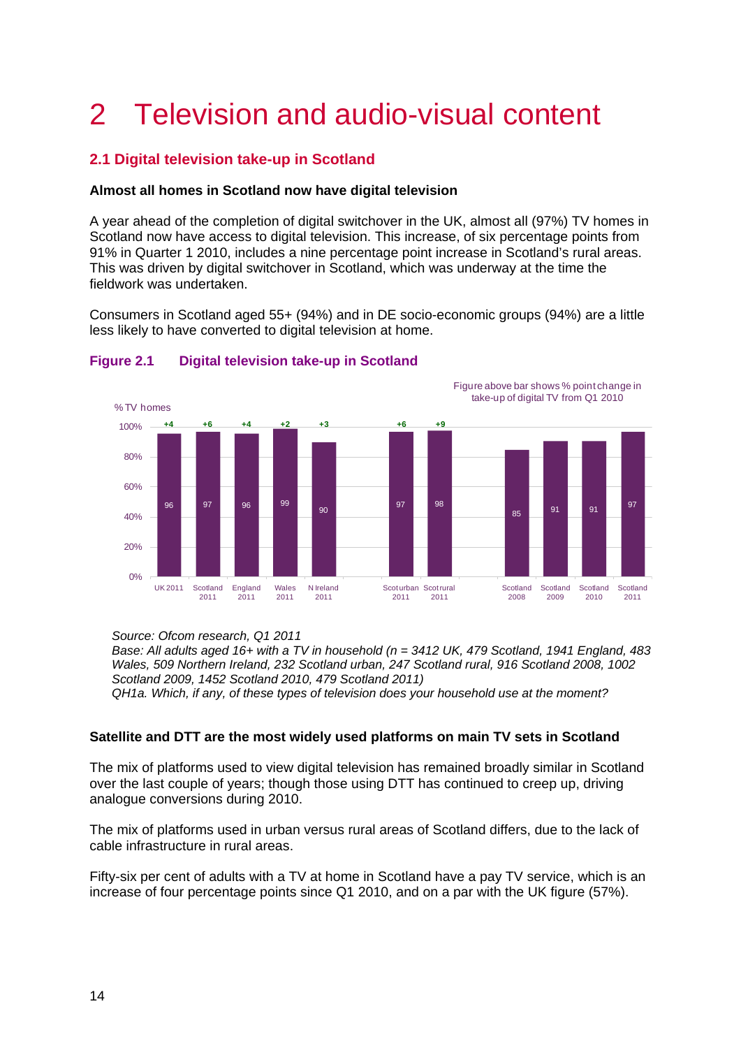# 2 Television and audio-visual content

# **2.1 Digital television take-up in Scotland**

# **Almost all homes in Scotland now have digital television**

A year ahead of the completion of digital switchover in the UK, almost all (97%) TV homes in Scotland now have access to digital television. This increase, of six percentage points from 91% in Quarter 1 2010, includes a nine percentage point increase in Scotland's rural areas. This was driven by digital switchover in Scotland, which was underway at the time the fieldwork was undertaken.

Consumers in Scotland aged 55+ (94%) and in DE socio-economic groups (94%) are a little less likely to have converted to digital television at home.



# **Figure 2.1 Digital television take-up in Scotland**

*Source: Ofcom research, Q1 2011* 

*Base: All adults aged 16+ with a TV in household (n = 3412 UK, 479 Scotland, 1941 England, 483 Wales, 509 Northern Ireland, 232 Scotland urban, 247 Scotland rural, 916 Scotland 2008, 1002 Scotland 2009, 1452 Scotland 2010, 479 Scotland 2011) QH1a. Which, if any, of these types of television does your household use at the moment?*

# **Satellite and DTT are the most widely used platforms on main TV sets in Scotland**

The mix of platforms used to view digital television has remained broadly similar in Scotland over the last couple of years; though those using DTT has continued to creep up, driving analogue conversions during 2010.

The mix of platforms used in urban versus rural areas of Scotland differs, due to the lack of cable infrastructure in rural areas.

Fifty-six per cent of adults with a TV at home in Scotland have a pay TV service, which is an increase of four percentage points since Q1 2010, and on a par with the UK figure (57%).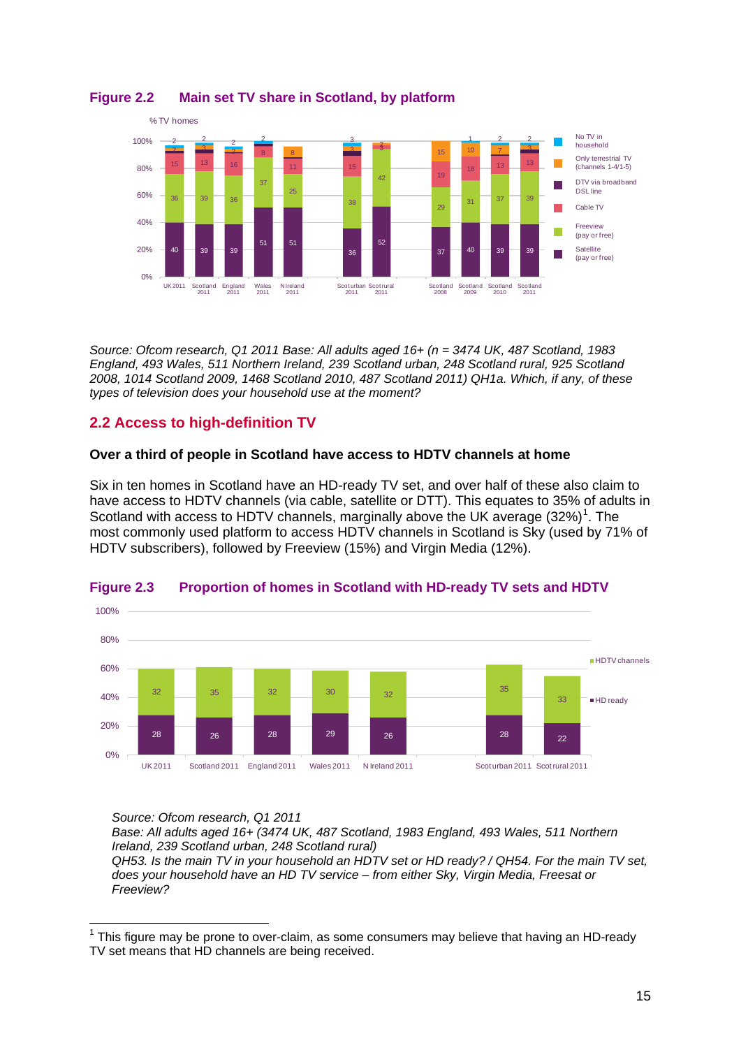

**Figure 2.2 Main set TV share in Scotland, by platform**

*Source: Ofcom research, Q1 2011 Base: All adults aged 16+ (n = 3474 UK, 487 Scotland, 1983 England, 493 Wales, 511 Northern Ireland, 239 Scotland urban, 248 Scotland rural, 925 Scotland 2008, 1014 Scotland 2009, 1468 Scotland 2010, 487 Scotland 2011) QH1a. Which, if any, of these types of television does your household use at the moment?*

# **2.2 Access to high-definition TV**

#### **Over a third of people in Scotland have access to HDTV channels at home**

Six in ten homes in Scotland have an HD-ready TV set, and over half of these also claim to have access to HDTV channels (via cable, satellite or DTT). This equates to 35% of adults in Scotland with access to HDTV channels, marginally above the UK average  $(32%)<sup>1</sup>$  $(32%)<sup>1</sup>$  $(32%)<sup>1</sup>$ . The most commonly used platform to access HDTV channels in Scotland is Sky (used by 71% of HDTV subscribers), followed by Freeview (15%) and Virgin Media (12%).



#### **Figure 2.3 Proportion of homes in Scotland with HD-ready TV sets and HDTV**

*Source: Ofcom research, Q1 2011*

*Base: All adults aged 16+ (3474 UK, 487 Scotland, 1983 England, 493 Wales, 511 Northern Ireland, 239 Scotland urban, 248 Scotland rural)* 

*QH53. Is the main TV in your household an HDTV set or HD ready? / QH54. For the main TV set, does your household have an HD TV service – from either Sky, Virgin Media, Freesat or Freeview?*

<span id="page-1-0"></span> $1$  This figure may be prone to over-claim, as some consumers may believe that having an HD-ready TV set means that HD channels are being received.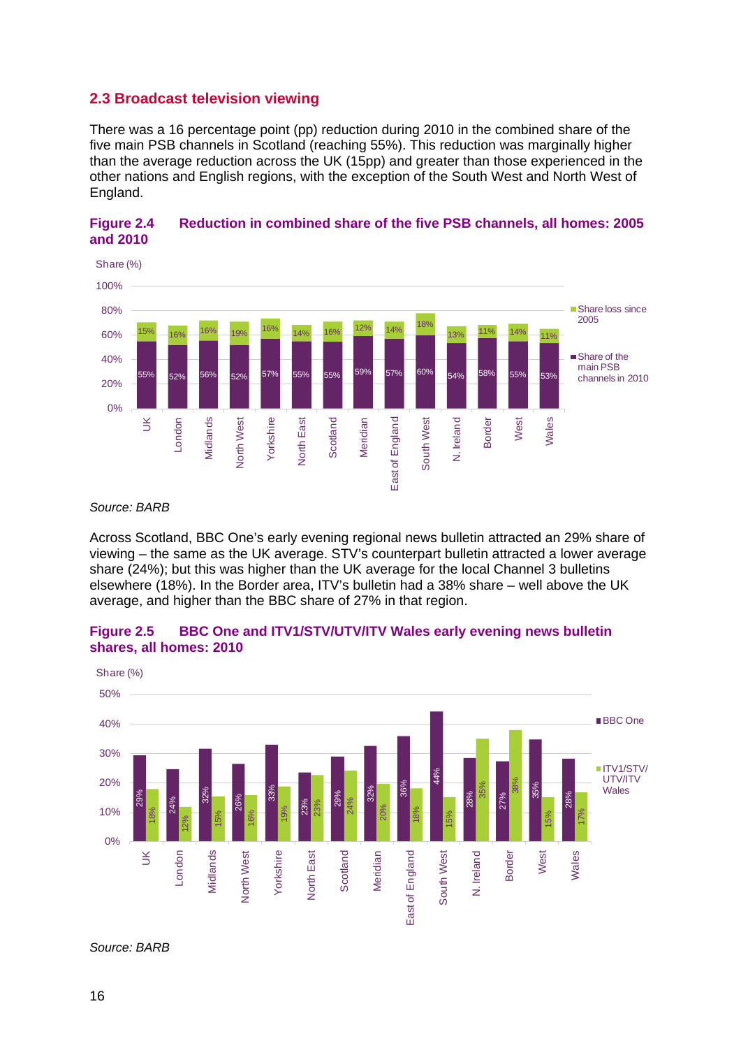#### **2.3 Broadcast television viewing**

There was a 16 percentage point (pp) reduction during 2010 in the combined share of the five main PSB channels in Scotland (reaching 55%). This reduction was marginally higher than the average reduction across the UK (15pp) and greater than those experienced in the other nations and English regions, with the exception of the South West and North West of England.



#### **Figure 2.4 Reduction in combined share of the five PSB channels, all homes: 2005 and 2010**

#### *Source: BARB*

Across Scotland, BBC One's early evening regional news bulletin attracted an 29% share of viewing – the same as the UK average. STV's counterpart bulletin attracted a lower average share (24%); but this was higher than the UK average for the local Channel 3 bulletins elsewhere (18%). In the Border area, ITV's bulletin had a 38% share – well above the UK average, and higher than the BBC share of 27% in that region.



#### **Figure 2.5 BBC One and ITV1/STV/UTV/ITV Wales early evening news bulletin shares, all homes: 2010**

*Source: BARB*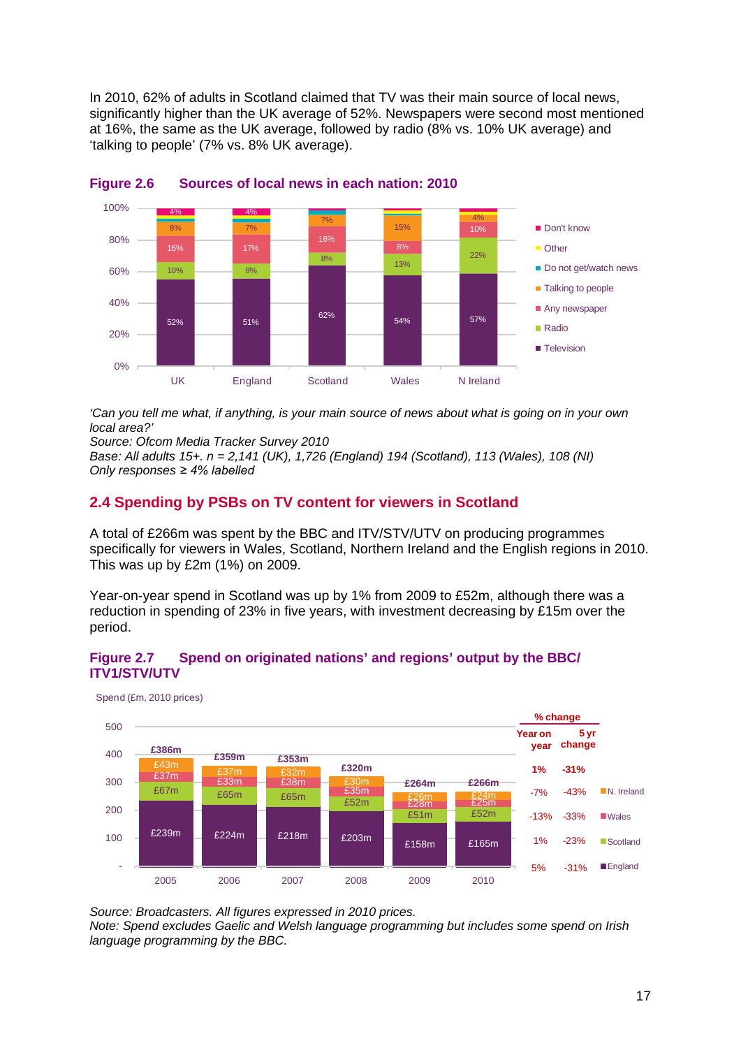In 2010, 62% of adults in Scotland claimed that TV was their main source of local news, significantly higher than the UK average of 52%. Newspapers were second most mentioned at 16%, the same as the UK average, followed by radio (8% vs. 10% UK average) and 'talking to people' (7% vs. 8% UK average).





*'Can you tell me what, if anything, is your main source of news about what is going on in your own local area?'*

*Source: Ofcom Media Tracker Survey 2010*

*Base: All adults 15+. n = 2,141 (UK), 1,726 (England) 194 (Scotland), 113 (Wales), 108 (NI) Only responses ≥ 4% labelled*

# **2.4 Spending by PSBs on TV content for viewers in Scotland**

A total of £266m was spent by the BBC and ITV/STV/UTV on producing programmes specifically for viewers in Wales, Scotland, Northern Ireland and the English regions in 2010. This was up by £2m (1%) on 2009.

Year-on-year spend in Scotland was up by 1% from 2009 to £52m, although there was a reduction in spending of 23% in five years, with investment decreasing by £15m over the period.





Spend (£m, 2010 prices)

*Source: Broadcasters. All figures expressed in 2010 prices.* 

*Note: Spend excludes Gaelic and Welsh language programming but includes some spend on Irish language programming by the BBC.*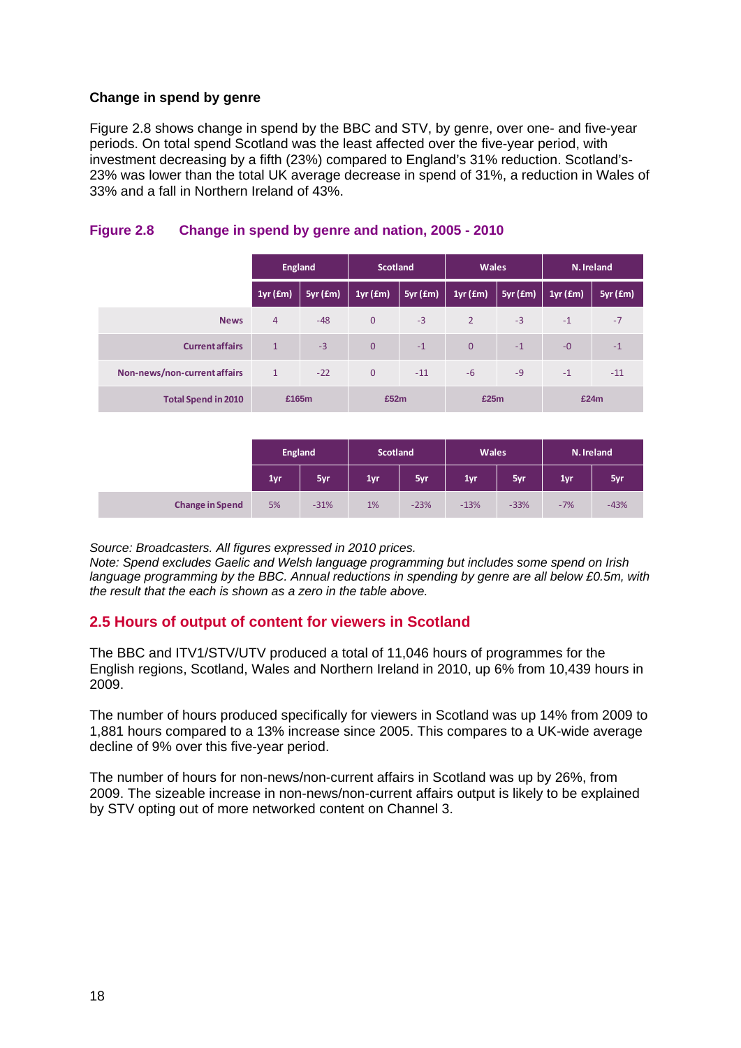#### **Change in spend by genre**

[Figure 2.8](#page-4-0) shows change in spend by the BBC and STV, by genre, over one- and five-year periods. On total spend Scotland was the least affected over the five-year period, with investment decreasing by a fifth (23%) compared to England's 31% reduction. Scotland's-23% was lower than the total UK average decrease in spend of 31%, a reduction in Wales of 33% and a fall in Northern Ireland of 43%.

|                              | <b>England</b> |                | <b>Scotland</b> |                | <b>Wales</b>   |                | N. Ireland     |                |
|------------------------------|----------------|----------------|-----------------|----------------|----------------|----------------|----------------|----------------|
|                              | $1yr$ ( $Em$ ) | $5yr$ ( $Em$ ) | $1yr$ ( $Em$ )  | $5yr$ ( $Em$ ) | $1yr$ ( $Em$ ) | $5yr$ ( $Em$ ) | $1yr$ ( $Em$ ) | $5yr$ ( $Em$ ) |
| <b>News</b>                  | $\overline{4}$ | $-48$          | $\overline{0}$  | $-3$           | $\overline{2}$ | $-3$           | $-1$           | $-7$           |
| <b>Current affairs</b>       | $\mathbf{1}$   | $-3$           | $\overline{0}$  | $-1$           | $\overline{0}$ | $-1$           | $-0$           | $-1$           |
| Non-news/non-current affairs | $\mathbf{1}$   | $-22$          | $\overline{0}$  | $-11$          | $-6$           | $-9$           | $-1$           | $-11$          |
| <b>Total Spend in 2010</b>   | £165m          |                | £52m            |                | £25m           |                | £24m           |                |

# <span id="page-4-0"></span>**Figure 2.8 Change in spend by genre and nation, 2005 - 2010**

|                        | <b>England</b> |        | <b>Scotland</b> |        | <b>Wales</b> |        | N. Ireland |        |
|------------------------|----------------|--------|-----------------|--------|--------------|--------|------------|--------|
|                        | 1yr            | 5yr    | 1yr             | 5yr    | 1yr          | 5yr    | 1yr        | 5yr    |
| <b>Change in Spend</b> | 5%             | $-31%$ | 1%              | $-23%$ | $-13%$       | $-33%$ | $-7%$      | $-43%$ |

*Source: Broadcasters. All figures expressed in 2010 prices.* 

*Note: Spend excludes Gaelic and Welsh language programming but includes some spend on Irish language programming by the BBC. Annual reductions in spending by genre are all below £0.5m, with the result that the each is shown as a zero in the table above.*

# **2.5 Hours of output of content for viewers in Scotland**

The BBC and ITV1/STV/UTV produced a total of 11,046 hours of programmes for the English regions, Scotland, Wales and Northern Ireland in 2010, up 6% from 10,439 hours in 2009.

The number of hours produced specifically for viewers in Scotland was up 14% from 2009 to 1,881 hours compared to a 13% increase since 2005. This compares to a UK-wide average decline of 9% over this five-year period.

The number of hours for non-news/non-current affairs in Scotland was up by 26%, from 2009. The sizeable increase in non-news/non-current affairs output is likely to be explained by STV opting out of more networked content on Channel 3.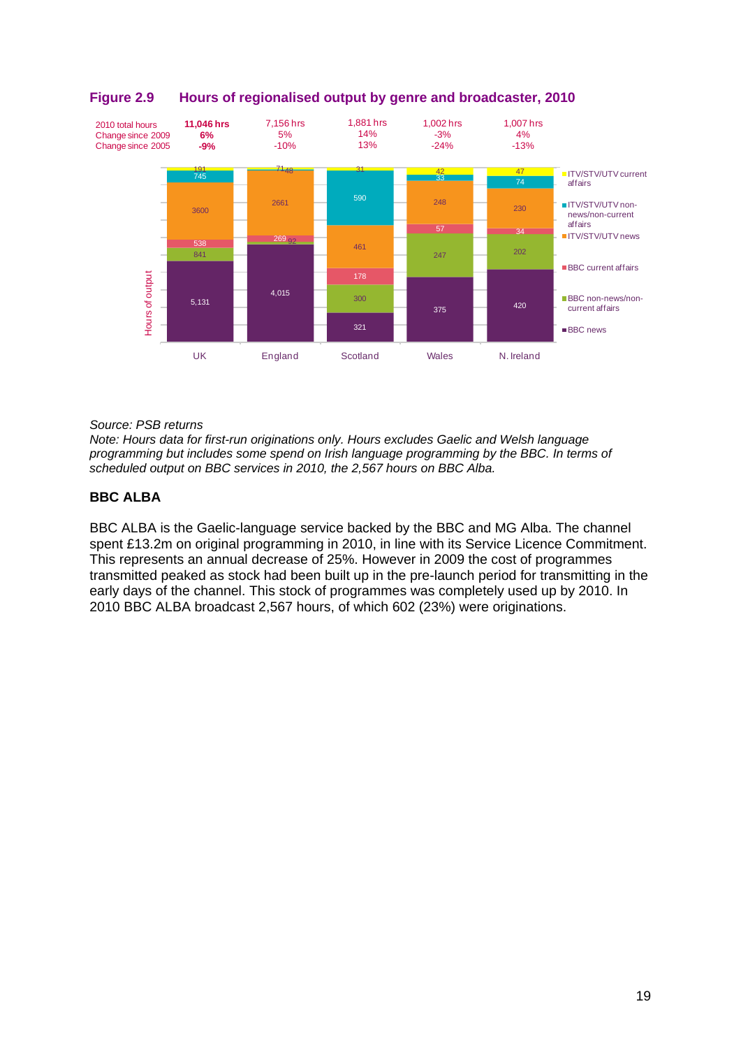

# **Figure 2.9 Hours of regionalised output by genre and broadcaster, 2010**

#### *Source: PSB returns*

*Note: Hours data for first-run originations only. Hours excludes Gaelic and Welsh language programming but includes some spend on Irish language programming by the BBC. In terms of scheduled output on BBC services in 2010, the 2,567 hours on BBC Alba.*

#### **BBC ALBA**

BBC ALBA is the Gaelic-language service backed by the BBC and MG Alba. The channel spent £13.2m on original programming in 2010, in line with its Service Licence Commitment. This represents an annual decrease of 25%. However in 2009 the cost of programmes transmitted peaked as stock had been built up in the pre-launch period for transmitting in the early days of the channel. This stock of programmes was completely used up by 2010. In 2010 BBC ALBA broadcast 2,567 hours, of which 602 (23%) were originations.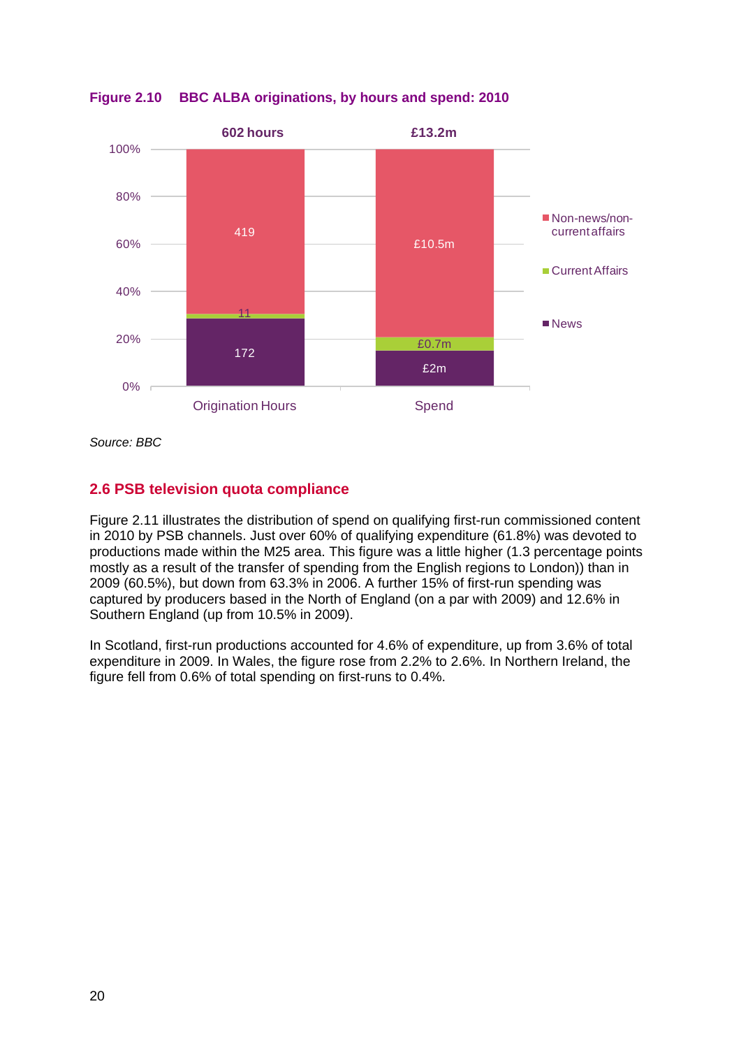

**Figure 2.10 BBC ALBA originations, by hours and spend: 2010**

*Source: BBC*

# **2.6 PSB television quota compliance**

[Figure 2.11](#page-7-0) illustrates the distribution of spend on qualifying first-run commissioned content in 2010 by PSB channels. Just over 60% of qualifying expenditure (61.8%) was devoted to productions made within the M25 area. This figure was a little higher (1.3 percentage points mostly as a result of the transfer of spending from the English regions to London)) than in 2009 (60.5%), but down from 63.3% in 2006. A further 15% of first-run spending was captured by producers based in the North of England (on a par with 2009) and 12.6% in Southern England (up from 10.5% in 2009).

In Scotland, first-run productions accounted for 4.6% of expenditure, up from 3.6% of total expenditure in 2009. In Wales, the figure rose from 2.2% to 2.6%. In Northern Ireland, the figure fell from 0.6% of total spending on first-runs to 0.4%.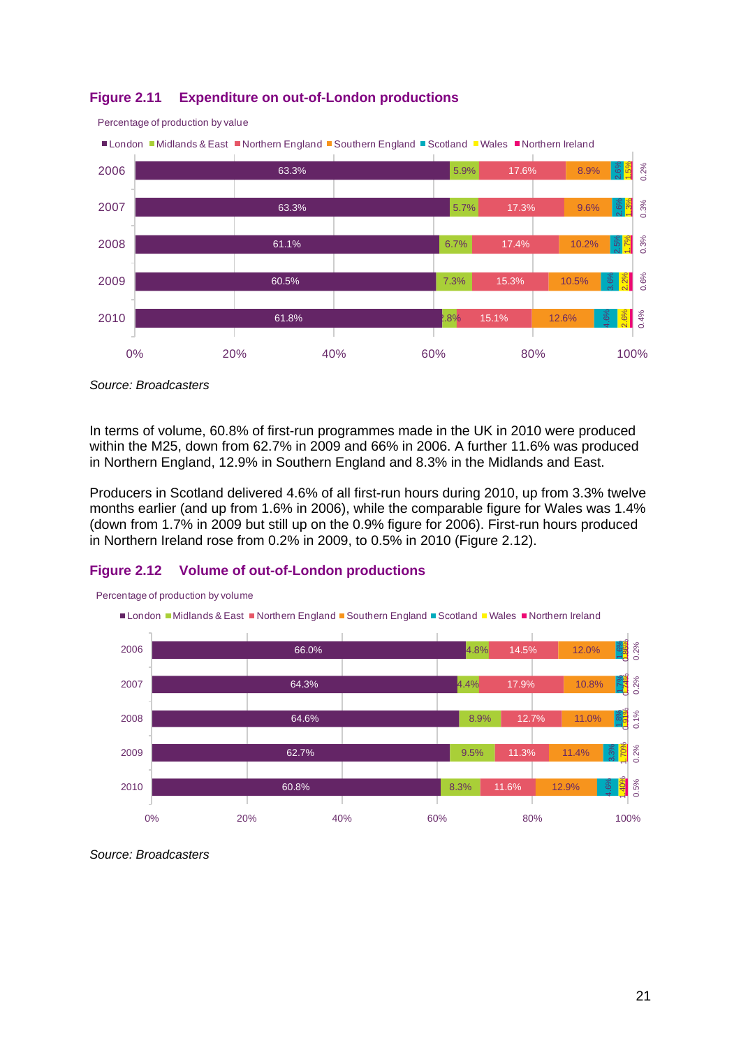#### <span id="page-7-0"></span>**Figure 2.11 Expenditure on out-of-London productions**

Percentage of production by value



■London ■Midlands & East ■Northern England ■Southern England ■Scotland ■Wales ■Northern Ireland

In terms of volume, 60.8% of first-run programmes made in the UK in 2010 were produced within the M25, down from 62.7% in 2009 and 66% in 2006. A further 11.6% was produced in Northern England, 12.9% in Southern England and 8.3% in the Midlands and East.

Producers in Scotland delivered 4.6% of all first-run hours during 2010, up from 3.3% twelve months earlier (and up from 1.6% in 2006), while the comparable figure for Wales was 1.4% (down from 1.7% in 2009 but still up on the 0.9% figure for 2006). First-run hours produced in Northern Ireland rose from 0.2% in 2009, to 0.5% in 2010 [\(Figure 2.12\)](#page-7-1).

#### <span id="page-7-1"></span>**Figure 2.12 Volume of out-of-London productions**



*Source: Broadcasters*

*Source: Broadcasters*